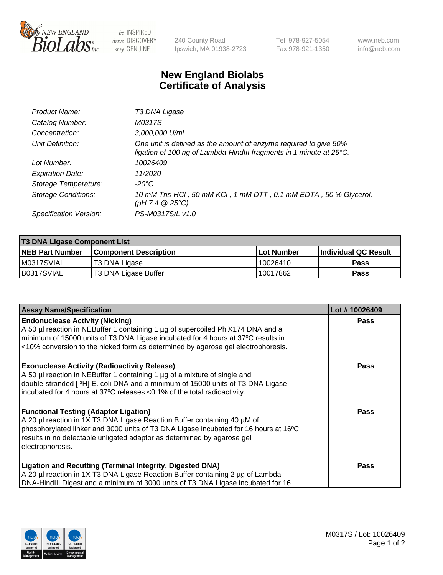

 $be$  INSPIRED drive DISCOVERY stay GENUINE

240 County Road Ipswich, MA 01938-2723 Tel 978-927-5054 Fax 978-921-1350 www.neb.com info@neb.com

## **New England Biolabs Certificate of Analysis**

| Product Name:              | T3 DNA Ligase                                                                                                                           |
|----------------------------|-----------------------------------------------------------------------------------------------------------------------------------------|
| Catalog Number:            | M0317S                                                                                                                                  |
| Concentration:             | 3,000,000 U/ml                                                                                                                          |
| Unit Definition:           | One unit is defined as the amount of enzyme required to give 50%<br>ligation of 100 ng of Lambda-HindIII fragments in 1 minute at 25°C. |
| Lot Number:                | 10026409                                                                                                                                |
| <b>Expiration Date:</b>    | 11/2020                                                                                                                                 |
| Storage Temperature:       | $-20^{\circ}$ C                                                                                                                         |
| <b>Storage Conditions:</b> | 10 mM Tris-HCl, 50 mM KCl, 1 mM DTT, 0.1 mM EDTA, 50 % Glycerol,<br>(pH 7.4 $@25°C$ )                                                   |
| Specification Version:     | PS-M0317S/L v1.0                                                                                                                        |

| <b>T3 DNA Ligase Component List</b> |                              |            |                      |  |  |
|-------------------------------------|------------------------------|------------|----------------------|--|--|
| <b>NEB Part Number</b>              | <b>Component Description</b> | Lot Number | Individual QC Result |  |  |
| M0317SVIAL                          | T3 DNA Ligase                | 10026410   | <b>Pass</b>          |  |  |
| B0317SVIAL                          | T3 DNA Ligase Buffer         | 10017862   | <b>Pass</b>          |  |  |

| <b>Assay Name/Specification</b>                                                                                                                                 | Lot #10026409 |
|-----------------------------------------------------------------------------------------------------------------------------------------------------------------|---------------|
| <b>Endonuclease Activity (Nicking)</b><br>A 50 µl reaction in NEBuffer 1 containing 1 µg of supercoiled PhiX174 DNA and a                                       | Pass          |
| minimum of 15000 units of T3 DNA Ligase incubated for 4 hours at 37°C results in                                                                                |               |
| <10% conversion to the nicked form as determined by agarose gel electrophoresis.                                                                                |               |
| <b>Exonuclease Activity (Radioactivity Release)</b>                                                                                                             | Pass          |
| A 50 µl reaction in NEBuffer 1 containing 1 µg of a mixture of single and<br>double-stranded [3H] E. coli DNA and a minimum of 15000 units of T3 DNA Ligase     |               |
| incubated for 4 hours at 37°C releases <0.1% of the total radioactivity.                                                                                        |               |
|                                                                                                                                                                 |               |
| <b>Functional Testing (Adaptor Ligation)</b>                                                                                                                    | Pass          |
| A 20 µl reaction in 1X T3 DNA Ligase Reaction Buffer containing 40 µM of                                                                                        |               |
| phosphorylated linker and 3000 units of T3 DNA Ligase incubated for 16 hours at 16°C<br>results in no detectable unligated adaptor as determined by agarose gel |               |
| electrophoresis.                                                                                                                                                |               |
|                                                                                                                                                                 |               |
| <b>Ligation and Recutting (Terminal Integrity, Digested DNA)</b>                                                                                                | Pass          |
| A 20 µl reaction in 1X T3 DNA Ligase Reaction Buffer containing 2 µg of Lambda                                                                                  |               |
| DNA-HindIII Digest and a minimum of 3000 units of T3 DNA Ligase incubated for 16                                                                                |               |